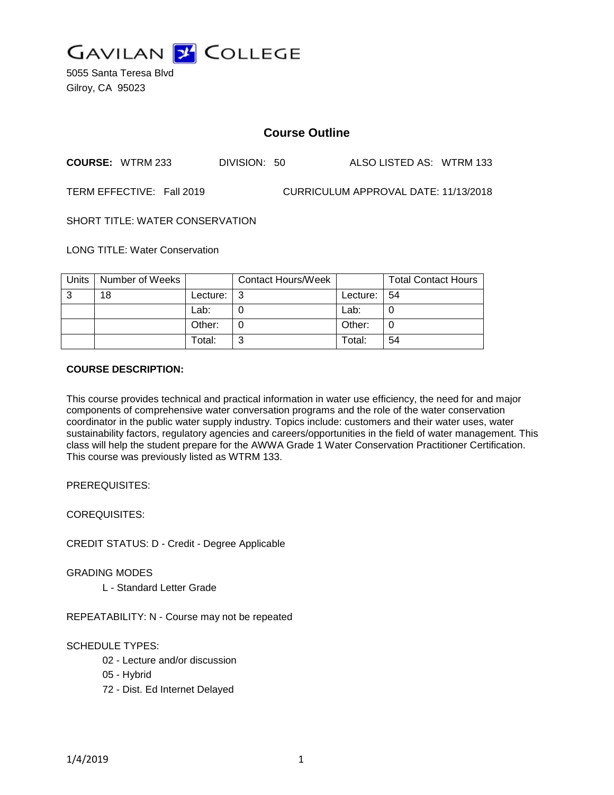

5055 Santa Teresa Blvd Gilroy, CA 95023

# **Course Outline**

**COURSE:** WTRM 233 DIVISION: 50 ALSO LISTED AS: WTRM 133

TERM EFFECTIVE: Fall 2019 CURRICULUM APPROVAL DATE: 11/13/2018

SHORT TITLE: WATER CONSERVATION

LONG TITLE: Water Conservation

| Units | Number of Weeks |               | <b>Contact Hours/Week</b> |             | <b>Total Contact Hours</b> |
|-------|-----------------|---------------|---------------------------|-------------|----------------------------|
| 3     | 18              | Lecture: $ 3$ |                           | Lecture: 54 |                            |
|       |                 | Lab:          |                           | Lab:        |                            |
|       |                 | Other:        |                           | Other:      |                            |
|       |                 | Total:        | ⌒                         | Total:      | 54                         |

#### **COURSE DESCRIPTION:**

This course provides technical and practical information in water use efficiency, the need for and major components of comprehensive water conversation programs and the role of the water conservation coordinator in the public water supply industry. Topics include: customers and their water uses, water sustainability factors, regulatory agencies and careers/opportunities in the field of water management. This class will help the student prepare for the AWWA Grade 1 Water Conservation Practitioner Certification. This course was previously listed as WTRM 133.

PREREQUISITES:

COREQUISITES:

CREDIT STATUS: D - Credit - Degree Applicable

GRADING MODES

L - Standard Letter Grade

REPEATABILITY: N - Course may not be repeated

SCHEDULE TYPES:

- 02 Lecture and/or discussion
- 05 Hybrid
- 72 Dist. Ed Internet Delayed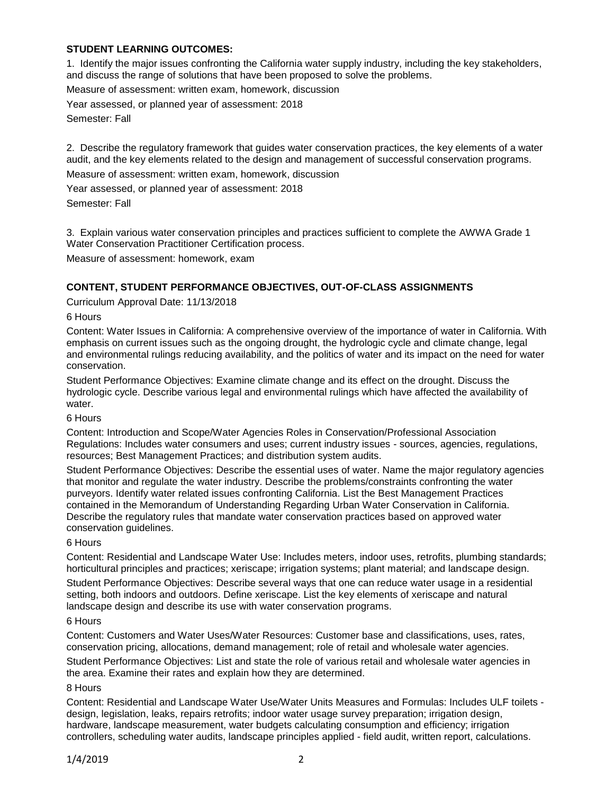## **STUDENT LEARNING OUTCOMES:**

1. Identify the major issues confronting the California water supply industry, including the key stakeholders, and discuss the range of solutions that have been proposed to solve the problems.

Measure of assessment: written exam, homework, discussion

Year assessed, or planned year of assessment: 2018

Semester: Fall

2. Describe the regulatory framework that guides water conservation practices, the key elements of a water audit, and the key elements related to the design and management of successful conservation programs.

Measure of assessment: written exam, homework, discussion

Year assessed, or planned year of assessment: 2018

Semester: Fall

3. Explain various water conservation principles and practices sufficient to complete the AWWA Grade 1 Water Conservation Practitioner Certification process.

Measure of assessment: homework, exam

## **CONTENT, STUDENT PERFORMANCE OBJECTIVES, OUT-OF-CLASS ASSIGNMENTS**

Curriculum Approval Date: 11/13/2018

6 Hours

Content: Water Issues in California: A comprehensive overview of the importance of water in California. With emphasis on current issues such as the ongoing drought, the hydrologic cycle and climate change, legal and environmental rulings reducing availability, and the politics of water and its impact on the need for water conservation.

Student Performance Objectives: Examine climate change and its effect on the drought. Discuss the hydrologic cycle. Describe various legal and environmental rulings which have affected the availability of water.

6 Hours

Content: Introduction and Scope/Water Agencies Roles in Conservation/Professional Association Regulations: Includes water consumers and uses; current industry issues - sources, agencies, regulations, resources; Best Management Practices; and distribution system audits.

Student Performance Objectives: Describe the essential uses of water. Name the major regulatory agencies that monitor and regulate the water industry. Describe the problems/constraints confronting the water purveyors. Identify water related issues confronting California. List the Best Management Practices contained in the Memorandum of Understanding Regarding Urban Water Conservation in California. Describe the regulatory rules that mandate water conservation practices based on approved water conservation guidelines.

6 Hours

Content: Residential and Landscape Water Use: Includes meters, indoor uses, retrofits, plumbing standards; horticultural principles and practices; xeriscape; irrigation systems; plant material; and landscape design. Student Performance Objectives: Describe several ways that one can reduce water usage in a residential setting, both indoors and outdoors. Define xeriscape. List the key elements of xeriscape and natural landscape design and describe its use with water conservation programs.

## 6 Hours

Content: Customers and Water Uses/Water Resources: Customer base and classifications, uses, rates, conservation pricing, allocations, demand management; role of retail and wholesale water agencies.

Student Performance Objectives: List and state the role of various retail and wholesale water agencies in the area. Examine their rates and explain how they are determined.

8 Hours

Content: Residential and Landscape Water Use/Water Units Measures and Formulas: Includes ULF toilets design, legislation, leaks, repairs retrofits; indoor water usage survey preparation; irrigation design, hardware, landscape measurement, water budgets calculating consumption and efficiency; irrigation controllers, scheduling water audits, landscape principles applied - field audit, written report, calculations.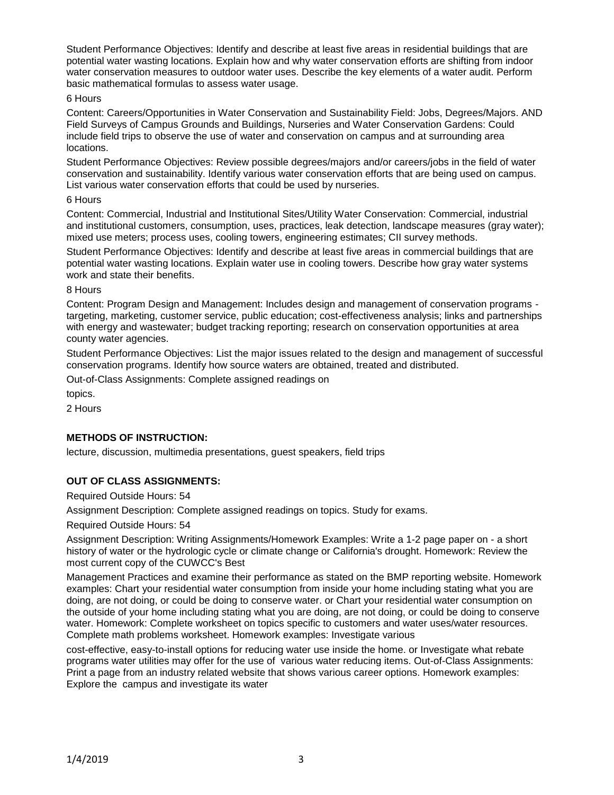Student Performance Objectives: Identify and describe at least five areas in residential buildings that are potential water wasting locations. Explain how and why water conservation efforts are shifting from indoor water conservation measures to outdoor water uses. Describe the key elements of a water audit. Perform basic mathematical formulas to assess water usage.

#### 6 Hours

Content: Careers/Opportunities in Water Conservation and Sustainability Field: Jobs, Degrees/Majors. AND Field Surveys of Campus Grounds and Buildings, Nurseries and Water Conservation Gardens: Could include field trips to observe the use of water and conservation on campus and at surrounding area locations.

Student Performance Objectives: Review possible degrees/majors and/or careers/jobs in the field of water conservation and sustainability. Identify various water conservation efforts that are being used on campus. List various water conservation efforts that could be used by nurseries.

#### 6 Hours

Content: Commercial, Industrial and Institutional Sites/Utility Water Conservation: Commercial, industrial and institutional customers, consumption, uses, practices, leak detection, landscape measures (gray water); mixed use meters; process uses, cooling towers, engineering estimates; CII survey methods.

Student Performance Objectives: Identify and describe at least five areas in commercial buildings that are potential water wasting locations. Explain water use in cooling towers. Describe how gray water systems work and state their benefits.

#### 8 Hours

Content: Program Design and Management: Includes design and management of conservation programs targeting, marketing, customer service, public education; cost-effectiveness analysis; links and partnerships with energy and wastewater; budget tracking reporting; research on conservation opportunities at area county water agencies.

Student Performance Objectives: List the major issues related to the design and management of successful conservation programs. Identify how source waters are obtained, treated and distributed.

Out-of-Class Assignments: Complete assigned readings on

topics.

2 Hours

## **METHODS OF INSTRUCTION:**

lecture, discussion, multimedia presentations, guest speakers, field trips

## **OUT OF CLASS ASSIGNMENTS:**

Required Outside Hours: 54

Assignment Description: Complete assigned readings on topics. Study for exams.

Required Outside Hours: 54

Assignment Description: Writing Assignments/Homework Examples: Write a 1-2 page paper on - a short history of water or the hydrologic cycle or climate change or California's drought. Homework: Review the most current copy of the CUWCC's Best

Management Practices and examine their performance as stated on the BMP reporting website. Homework examples: Chart your residential water consumption from inside your home including stating what you are doing, are not doing, or could be doing to conserve water. or Chart your residential water consumption on the outside of your home including stating what you are doing, are not doing, or could be doing to conserve water. Homework: Complete worksheet on topics specific to customers and water uses/water resources. Complete math problems worksheet. Homework examples: Investigate various

cost-effective, easy-to-install options for reducing water use inside the home. or Investigate what rebate programs water utilities may offer for the use of various water reducing items. Out-of-Class Assignments: Print a page from an industry related website that shows various career options. Homework examples: Explore the campus and investigate its water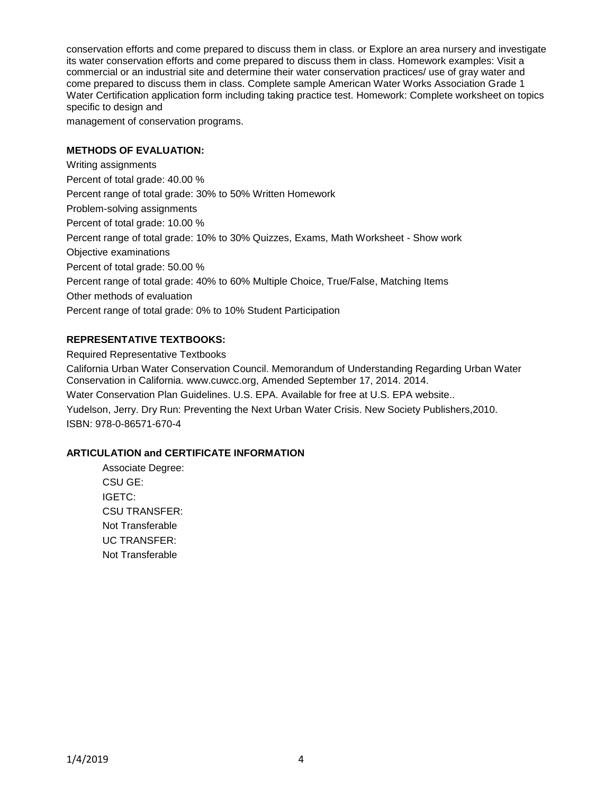conservation efforts and come prepared to discuss them in class. or Explore an area nursery and investigate its water conservation efforts and come prepared to discuss them in class. Homework examples: Visit a commercial or an industrial site and determine their water conservation practices/ use of gray water and come prepared to discuss them in class. Complete sample American Water Works Association Grade 1 Water Certification application form including taking practice test. Homework: Complete worksheet on topics specific to design and

management of conservation programs.

#### **METHODS OF EVALUATION:**

Writing assignments Percent of total grade: 40.00 % Percent range of total grade: 30% to 50% Written Homework Problem-solving assignments Percent of total grade: 10.00 % Percent range of total grade: 10% to 30% Quizzes, Exams, Math Worksheet - Show work Objective examinations Percent of total grade: 50.00 % Percent range of total grade: 40% to 60% Multiple Choice, True/False, Matching Items Other methods of evaluation Percent range of total grade: 0% to 10% Student Participation

## **REPRESENTATIVE TEXTBOOKS:**

Required Representative Textbooks

California Urban Water Conservation Council. Memorandum of Understanding Regarding Urban Water Conservation in California. www.cuwcc.org, Amended September 17, 2014. 2014.

Water Conservation Plan Guidelines. U.S. EPA. Available for free at U.S. EPA website..

Yudelson, Jerry. Dry Run: Preventing the Next Urban Water Crisis. New Society Publishers,2010. ISBN: 978-0-86571-670-4

## **ARTICULATION and CERTIFICATE INFORMATION**

Associate Degree: CSU GE: IGETC: CSU TRANSFER: Not Transferable UC TRANSFER: Not Transferable